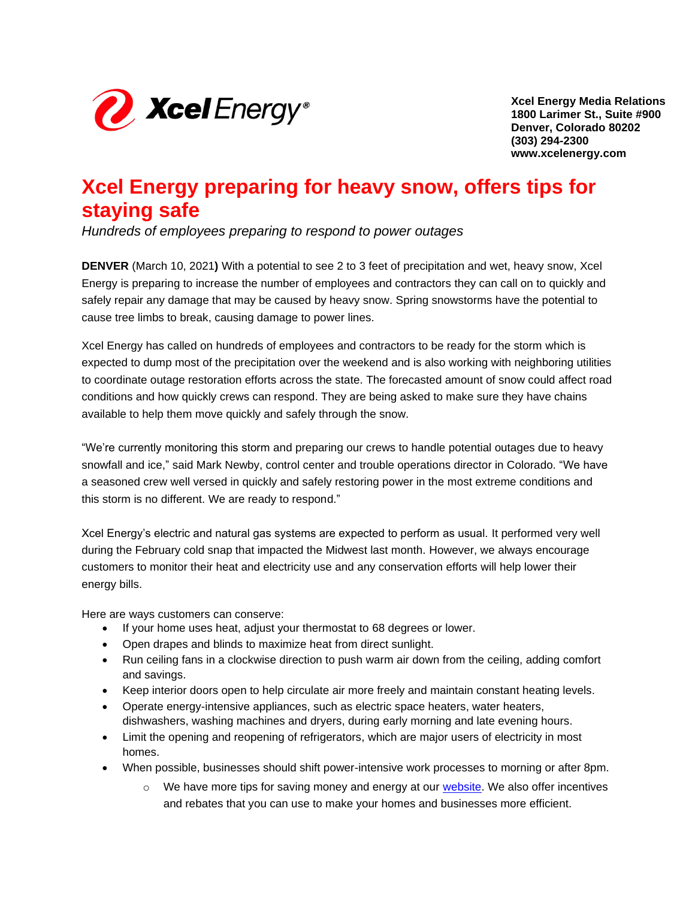

**Xcel Energy Media Relations 1800 Larimer St., Suite #900 Denver, Colorado 80202 (303) 294-2300 www.xcelenergy.com**

# **Xcel Energy preparing for heavy snow, offers tips for staying safe**

*Hundreds of employees preparing to respond to power outages*

**DENVER** (March 10, 2021**)** With a potential to see 2 to 3 feet of precipitation and wet, heavy snow, Xcel Energy is preparing to increase the number of employees and contractors they can call on to quickly and safely repair any damage that may be caused by heavy snow. Spring snowstorms have the potential to cause tree limbs to break, causing damage to power lines.

Xcel Energy has called on hundreds of employees and contractors to be ready for the storm which is expected to dump most of the precipitation over the weekend and is also working with neighboring utilities to coordinate outage restoration efforts across the state. The forecasted amount of snow could affect road conditions and how quickly crews can respond. They are being asked to make sure they have chains available to help them move quickly and safely through the snow.

"We're currently monitoring this storm and preparing our crews to handle potential outages due to heavy snowfall and ice," said Mark Newby, control center and trouble operations director in Colorado. "We have a seasoned crew well versed in quickly and safely restoring power in the most extreme conditions and this storm is no different. We are ready to respond."

Xcel Energy's electric and natural gas systems are expected to perform as usual. It performed very well during the February cold snap that impacted the Midwest last month. However, we always encourage customers to monitor their heat and electricity use and any conservation efforts will help lower their energy bills.

Here are ways customers can conserve:

- If your home uses heat, adjust your thermostat to 68 degrees or lower.
- Open drapes and blinds to maximize heat from direct sunlight.
- Run ceiling fans in a clockwise direction to push warm air down from the ceiling, adding comfort and savings.
- Keep interior doors open to help circulate air more freely and maintain constant heating levels.
- Operate energy-intensive appliances, such as electric space heaters, water heaters, dishwashers, washing machines and dryers, during early morning and late evening hours.
- Limit the opening and reopening of refrigerators, which are major users of electricity in most homes.
- When possible, businesses should shift power-intensive work processes to morning or after 8pm.
	- $\circ$  We have more tips for saving money and energy at our [website.](https://www.xcelenergy.com/ways_to_save) We also offer incentives and rebates that you can use to make your homes and businesses more efficient.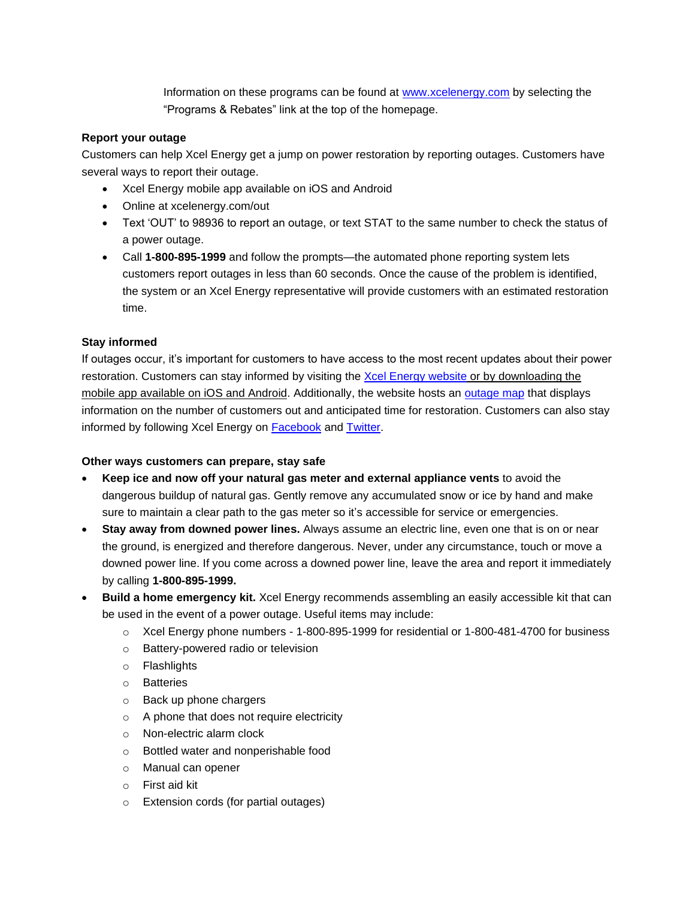Information on these programs can be found at [www.xcelenergy.com](http://www.xcelenergy.com/) by selecting the "Programs & Rebates" link at the top of the homepage.

## **Report your outage**

Customers can help Xcel Energy get a jump on power restoration by reporting outages. Customers have several ways to report their outage.

- Xcel Energy mobile app available on iOS and Android
- Online at xcelenergy.com/out
- Text 'OUT' to 98936 to report an outage, or text STAT to the same number to check the status of a power outage.
- Call **1-800-895-1999** and follow the prompts—the automated phone reporting system lets customers report outages in less than 60 seconds. Once the cause of the problem is identified, the system or an Xcel Energy representative will provide customers with an estimated restoration time.

## **Stay informed**

If outages occur, it's important for customers to have access to the most recent updates about their power restoration. Customers can stay informed by visiting the [Xcel Energy website](http://www.xcelenergy.com/) or by downloading the mobile app available on iOS and Android. Additionally, the website hosts an [outage map](https://www.xcelenergy.com/Outages_and_Emergencies) that displays information on the number of customers out and anticipated time for restoration. Customers can also stay informed by following Xcel Energy on [Facebook](https://www.facebook.com/XcelEnergyMN) and [Twitter.](https://twitter.com/xcelenergymn)

#### **Other ways customers can prepare, stay safe**

- **Keep ice and now off your natural gas meter and external appliance vents** to avoid the dangerous buildup of natural gas. Gently remove any accumulated snow or ice by hand and make sure to maintain a clear path to the gas meter so it's accessible for service or emergencies.
- **Stay away from downed power lines.** Always assume an electric line, even one that is on or near the ground, is energized and therefore dangerous. Never, under any circumstance, touch or move a downed power line. If you come across a downed power line, leave the area and report it immediately by calling **1-800-895-1999.**
- **Build a home emergency kit.** Xcel Energy recommends assembling an easily accessible kit that can be used in the event of a power outage. Useful items may include:
	- $\circ$  Xcel Energy phone numbers 1-800-895-1999 for residential or 1-800-481-4700 for business
	- o Battery-powered radio or television
	- o Flashlights
	- o Batteries
	- o Back up phone chargers
	- o A phone that does not require electricity
	- o Non-electric alarm clock
	- o Bottled water and nonperishable food
	- o Manual can opener
	- o First aid kit
	- o Extension cords (for partial outages)